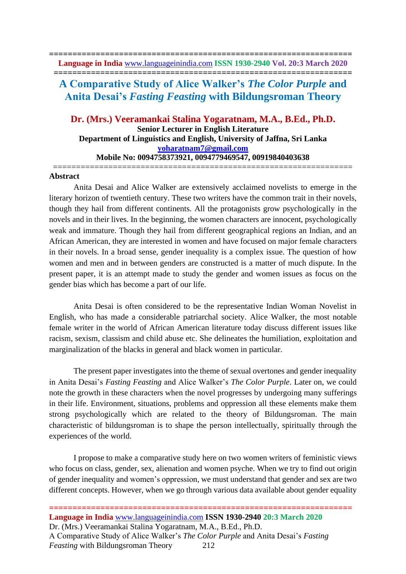**================================================================**

# **A Comparative Study of Alice Walker's** *The Color Purple* **and Anita Desai's** *Fasting Feasting* **with Bildungsroman Theory**

## **Dr. (Mrs.) Veeramankai Stalina Yogaratnam, M.A., B.Ed., Ph.D. Senior Lecturer in English Literature Department of Linguistics and English, University of Jaffna, Sri Lanka [yoharatnam7@gmail.com](mailto:yoharatnam7@gmail.com) Mobile No: 0094758373921, 0094779469547, 00919840403638** =================================================================

#### **Abstract**

Anita Desai and Alice Walker are extensively acclaimed novelists to emerge in the literary horizon of twentieth century. These two writers have the common trait in their novels, though they hail from different continents. All the protagonists grow psychologically in the novels and in their lives. In the beginning, the women characters are innocent, psychologically weak and immature. Though they hail from different geographical regions an Indian, and an African American, they are interested in women and have focused on major female characters in their novels. In a broad sense, gender inequality is a complex issue. The question of how women and men and in between genders are constructed is a matter of much dispute. In the present paper, it is an attempt made to study the gender and women issues as focus on the gender bias which has become a part of our life.

Anita Desai is often considered to be the representative Indian Woman Novelist in English, who has made a considerable patriarchal society. Alice Walker, the most notable female writer in the world of African American literature today discuss different issues like racism, sexism, classism and child abuse etc. She delineates the humiliation, exploitation and marginalization of the blacks in general and black women in particular.

The present paper investigates into the theme of sexual overtones and gender inequality in Anita Desai's *Fasting Feasting* and Alice Walker's *The Color Purple*. Later on, we could note the growth in these characters when the novel progresses by undergoing many sufferings in their life. Environment, situations, problems and oppression all these elements make them strong psychologically which are related to the theory of Bildungsroman. The main characteristic of bildungsroman is to shape the person intellectually, spiritually through the experiences of the world.

I propose to make a comparative study here on two women writers of feministic views who focus on class, gender, sex, alienation and women psyche. When we try to find out origin of gender inequality and women's oppression, we must understand that gender and sex are two different concepts. However, when we go through various data available about gender equality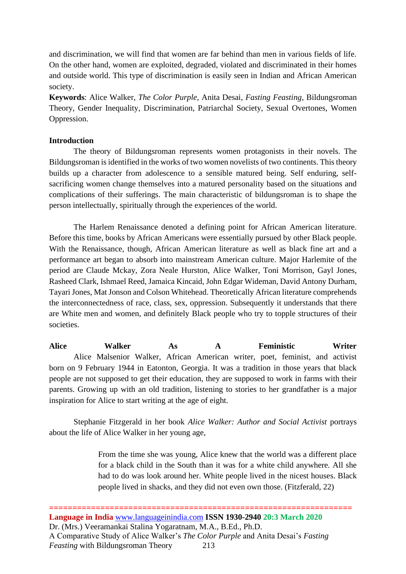and discrimination, we will find that women are far behind than men in various fields of life. On the other hand, women are exploited, degraded, violated and discriminated in their homes and outside world. This type of discrimination is easily seen in Indian and African American society.

**Keywords**: Alice Walker, *The Color Purple*, Anita Desai, *Fasting Feasting*, Bildungsroman Theory, Gender Inequality, Discrimination, Patriarchal Society, Sexual Overtones, Women Oppression.

## **Introduction**

The theory of Bildungsroman represents women protagonists in their novels. The Bildungsroman is identified in the works of two women novelists of two continents. This theory builds up a character from adolescence to a sensible matured being. Self enduring, selfsacrificing women change themselves into a matured personality based on the situations and complications of their sufferings. The main characteristic of bildungsroman is to shape the person intellectually, spiritually through the experiences of the world.

The Harlem Renaissance denoted a defining point for African American literature. Before this time, books by African Americans were essentially pursued by other Black people. With the Renaissance, though, African American literature as well as black fine art and a performance art began to absorb into mainstream American culture. Major Harlemite of the period are Claude Mckay, Zora Neale Hurston, Alice Walker, Toni Morrison, Gayl Jones, Rasheed Clark, Ishmael Reed, Jamaica Kincaid, John Edgar Wideman, David Antony Durham, Tayari Jones, Mat Jonson and Colson Whitehead. Theoretically African literature comprehends the interconnectedness of race, class, sex, oppression. Subsequently it understands that there are White men and women, and definitely Black people who try to topple structures of their societies.

**Alice Walker As A Feministic Writer** Alice Malsenior Walker, African American writer, poet, feminist, and activist born on 9 February 1944 in Eatonton, Georgia. It was a tradition in those years that black people are not supposed to get their education, they are supposed to work in farms with their parents. Growing up with an old tradition, listening to stories to her grandfather is a major inspiration for Alice to start writing at the age of eight.

Stephanie Fitzgerald in her book *Alice Walker: Author and Social Activist* portrays about the life of Alice Walker in her young age,

> From the time she was young, Alice knew that the world was a different place for a black child in the South than it was for a white child anywhere. All she had to do was look around her. White people lived in the nicest houses. Black people lived in shacks, and they did not even own those. (Fitzferald, 22)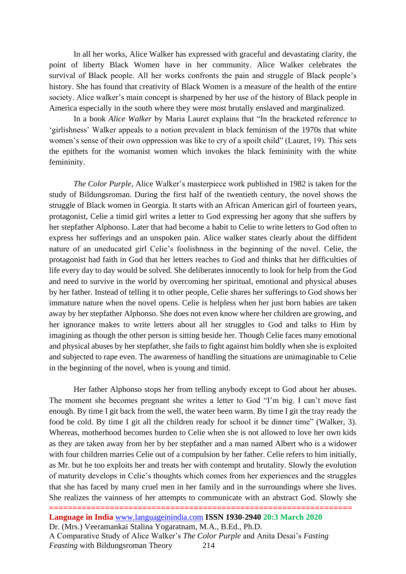In all her works, Alice Walker has expressed with graceful and devastating clarity, the point of liberty Black Women have in her community. Alice Walker celebrates the survival of Black people. All her works confronts the pain and struggle of Black people's history. She has found that creativity of Black Women is a measure of the health of the entire society. Alice walker's main concept is sharpened by her use of the history of Black people in America especially in the south where they were most brutally enslaved and marginalized.

In a book *Alice Walker* by Maria Lauret explains that "In the bracketed reference to 'girlishness' Walker appeals to a notion prevalent in black feminism of the 1970s that white women's sense of their own oppression was like to cry of a spoilt child" (Lauret, 19). This sets the epithets for the womanist women which invokes the black femininity with the white femininity.

*The Color Purple*, Alice Walker's masterpiece work published in 1982 is taken for the study of Bildungsroman. During the first half of the twentieth century, the novel shows the struggle of Black women in Georgia. It starts with an African American girl of fourteen years, protagonist, Celie a timid girl writes a letter to God expressing her agony that she suffers by her stepfather Alphonso. Later that had become a habit to Celie to write letters to God often to express her sufferings and an unspoken pain. Alice walker states clearly about the diffident nature of an uneducated girl Celie's foolishness in the beginning of the novel. Celie, the protagonist had faith in God that her letters reaches to God and thinks that her difficulties of life every day to day would be solved. She deliberates innocently to look for help from the God and need to survive in the world by overcoming her spiritual, emotional and physical abuses by her father. Instead of telling it to other people, Celie shares her sufferings to God shows her immature nature when the novel opens. Celie is helpless when her just born babies are taken away by her stepfather Alphonso. She does not even know where her children are growing, and her ignorance makes to write letters about all her struggles to God and talks to Him by imagining as though the other person is sitting beside her. Though Celie faces many emotional and physical abuses by her stepfather, she fails to fight against him boldly when she is exploited and subjected to rape even. The awareness of handling the situations are unimaginable to Celie in the beginning of the novel, when is young and timid.

Her father Alphonso stops her from telling anybody except to God about her abuses. The moment she becomes pregnant she writes a letter to God "I'm big. I can't move fast enough. By time I git back from the well, the water been warm. By time I git the tray ready the food be cold. By time I git all the children ready for school it be dinner time" (Walker, 3). Whereas, motherhood becomes burden to Celie when she is not allowed to love her own kids as they are taken away from her by her stepfather and a man named Albert who is a widower with four children marries Celie out of a compulsion by her father. Celie refers to him initially, as Mr. but he too exploits her and treats her with contempt and brutality. Slowly the evolution of maturity develops in Celie's thoughts which comes from her experiences and the struggles that she has faced by many cruel men in her family and in the surroundings where she lives. She realizes the vainness of her attempts to communicate with an abstract God. Slowly she

**=================================================================**

**Language in India** [www.languageinindia.com](http://www.languageinindia.com/) **ISSN 1930-2940 20:3 March 2020** Dr. (Mrs.) Veeramankai Stalina Yogaratnam, M.A., B.Ed., Ph.D. A Comparative Study of Alice Walker's *The Color Purple* and Anita Desai's *Fasting Feasting* with Bildungsroman Theory 214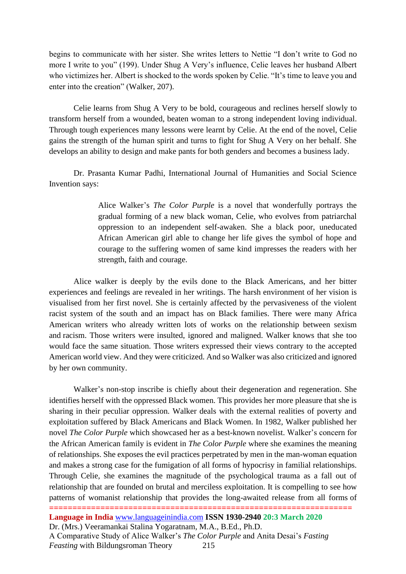begins to communicate with her sister. She writes letters to Nettie "I don't write to God no more I write to you" (199). Under Shug A Very's influence, Celie leaves her husband Albert who victimizes her. Albert is shocked to the words spoken by Celie. "It's time to leave you and enter into the creation" (Walker, 207).

Celie learns from Shug A Very to be bold, courageous and reclines herself slowly to transform herself from a wounded, beaten woman to a strong independent loving individual. Through tough experiences many lessons were learnt by Celie. At the end of the novel, Celie gains the strength of the human spirit and turns to fight for Shug A Very on her behalf. She develops an ability to design and make pants for both genders and becomes a business lady.

Dr. Prasanta Kumar Padhi, International Journal of Humanities and Social Science Invention says:

> Alice Walker's *The Color Purple* is a novel that wonderfully portrays the gradual forming of a new black woman, Celie, who evolves from patriarchal oppression to an independent self-awaken. She a black poor, uneducated African American girl able to change her life gives the symbol of hope and courage to the suffering women of same kind impresses the readers with her strength, faith and courage.

Alice walker is deeply by the evils done to the Black Americans, and her bitter experiences and feelings are revealed in her writings. The harsh environment of her vision is visualised from her first novel. She is certainly affected by the pervasiveness of the violent racist system of the south and an impact has on Black families. There were many Africa American writers who already written lots of works on the relationship between sexism and racism. Those writers were insulted, ignored and maligned. Walker knows that she too would face the same situation. Those writers expressed their views contrary to the accepted American world view. And they were criticized. And so Walker was also criticized and ignored by her own community.

Walker's non-stop inscribe is chiefly about their degeneration and regeneration. She identifies herself with the oppressed Black women. This provides her more pleasure that she is sharing in their peculiar oppression. Walker deals with the external realities of poverty and exploitation suffered by Black Americans and Black Women. In 1982, Walker published her novel *The Color Purple* which showcased her as a best-known novelist. Walker's concern for the African American family is evident in *The Color Purple* where she examines the meaning of relationships. She exposes the evil practices perpetrated by men in the man-woman equation and makes a strong case for the fumigation of all forms of hypocrisy in familial relationships. Through Celie, she examines the magnitude of the psychological trauma as a fall out of relationship that are founded on brutal and merciless exploitation. It is compelling to see how patterns of womanist relationship that provides the long-awaited release from all forms of

**Language in India** [www.languageinindia.com](http://www.languageinindia.com/) **ISSN 1930-2940 20:3 March 2020** Dr. (Mrs.) Veeramankai Stalina Yogaratnam, M.A., B.Ed., Ph.D. A Comparative Study of Alice Walker's *The Color Purple* and Anita Desai's *Fasting Feasting* with Bildungsroman Theory 215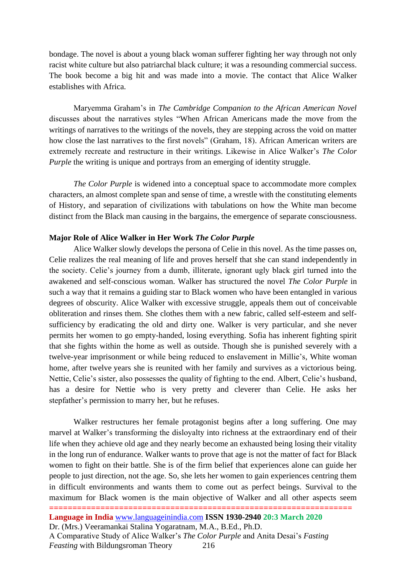bondage. The novel is about a young black woman sufferer fighting her way through not only racist white culture but also patriarchal black culture; it was a resounding commercial success. The book become a big hit and was made into a movie. The contact that Alice Walker establishes with Africa.

Maryemma Graham's in *The Cambridge Companion to the African American Novel* discusses about the narratives styles "When African Americans made the move from the writings of narratives to the writings of the novels, they are stepping across the void on matter how close the last narratives to the first novels" (Graham, 18). African American writers are extremely recreate and restructure in their writings. Likewise in Alice Walker's *The Color Purple* the writing is unique and portrays from an emerging of identity struggle.

*The Color Purple* is widened into a conceptual space to accommodate more complex characters, an almost complete span and sense of time, a wrestle with the constituting elements of History, and separation of civilizations with tabulations on how the White man become distinct from the Black man causing in the bargains, the emergence of separate consciousness.

#### **Major Role of Alice Walker in Her Work** *The Color Purple*

Alice Walker slowly develops the persona of Celie in this novel. As the time passes on, Celie realizes the real meaning of life and proves herself that she can stand independently in the society. Celie's journey from a dumb, illiterate, ignorant ugly black girl turned into the awakened and self-conscious woman. Walker has structured the novel *The Color Purple* in such a way that it remains a guiding star to Black women who have been entangled in various degrees of obscurity. Alice Walker with excessive struggle, appeals them out of conceivable obliteration and rinses them. She clothes them with a new fabric, called self-esteem and selfsufficiency by eradicating the old and dirty one. Walker is very particular, and she never permits her women to go empty-handed, losing everything. Sofia has inherent fighting spirit that she fights within the home as well as outside. Though she is punished severely with a twelve-year imprisonment or while being reduced to enslavement in Millie's, White woman home, after twelve years she is reunited with her family and survives as a victorious being. Nettie, Celie's sister, also possesses the quality of fighting to the end. Albert, Celie's husband, has a desire for Nettie who is very pretty and cleverer than Celie. He asks her stepfather's permission to marry her, but he refuses.

Walker restructures her female protagonist begins after a long suffering. One may marvel at Walker's transforming the disloyalty into richness at the extraordinary end of their life when they achieve old age and they nearly become an exhausted being losing their vitality in the long run of endurance. Walker wants to prove that age is not the matter of fact for Black women to fight on their battle. She is of the firm belief that experiences alone can guide her people to just direction, not the age. So, she lets her women to gain experiences centring them in difficult environments and wants them to come out as perfect beings. Survival to the maximum for Black women is the main objective of Walker and all other aspects seem

**=================================================================**

**Language in India** [www.languageinindia.com](http://www.languageinindia.com/) **ISSN 1930-2940 20:3 March 2020** Dr. (Mrs.) Veeramankai Stalina Yogaratnam, M.A., B.Ed., Ph.D. A Comparative Study of Alice Walker's *The Color Purple* and Anita Desai's *Fasting Feasting* with Bildungsroman Theory 216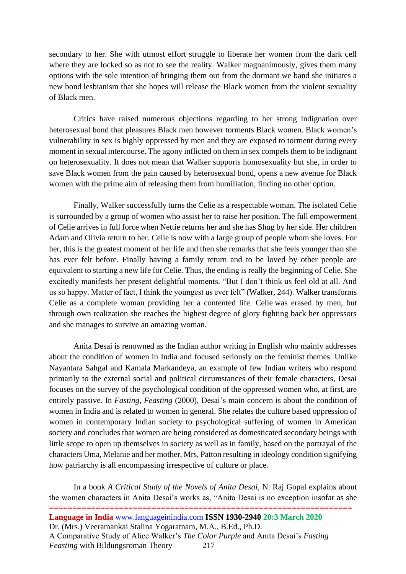secondary to her. She with utmost effort struggle to liberate her women from the dark cell where they are locked so as not to see the reality. Walker magnanimously, gives them many options with the sole intention of bringing them out from the dormant we band she initiates a new bond lesbianism that she hopes will release the Black women from the violent sexuality of Black men.

Critics have raised numerous objections regarding to her strong indignation over heterosexual bond that pleasures Black men however torments Black women. Black women's vulnerability in sex is highly oppressed by men and they are exposed to torment during every moment in sexual intercourse. The agony inflicted on them in sex compels them to be indignant on heterosexuality. It does not mean that Walker supports homosexuality but she, in order to save Black women from the pain caused by heterosexual bond, opens a new avenue for Black women with the prime aim of releasing them from humiliation, finding no other option.

Finally, Walker successfully turns the Celie as a respectable woman. The isolated Celie is surrounded by a group of women who assist her to raise her position. The full empowerment of Celie arrives in full force when Nettie returns her and she has Shug by her side. Her children Adam and Olivia return to her. Celie is now with a large group of people whom she loves. For her, this is the greatest moment of her life and then she remarks that she feels younger than she has ever felt before. Finally having a family return and to be loved by other people are equivalent to starting a new life for Celie. Thus, the ending is really the beginning of Celie. She excitedly manifests her present delightful moments. "But I don't think us feel old at all. And us so happy. Matter of fact, I think the youngest us ever felt" (Walker, 244). Walker transforms Celie as a complete woman providing her a contented life. Celie was erased by men, but through own realization she reaches the highest degree of glory fighting back her oppressors and she manages to survive an amazing woman.

Anita Desai is renowned as the Indian author writing in English who mainly addresses about the condition of women in India and focused seriously on the feminist themes. Unlike Nayantara Sahgal and Kamala Markandeya, an example of few Indian writers who respond primarily to the external social and political circumstances of their female characters, Desai focuses on the survey of the psychological condition of the oppressed women who, at first, are entirely passive. In *Fasting, Feasting* (2000), Desai's main concern is about the condition of women in India and is related to women in general. She relates the culture based oppression of women in contemporary Indian society to psychological suffering of women in American society and concludes that women are being considered as domesticated secondary beings with little scope to open up themselves in society as well as in family, based on the portrayal of the characters Uma, Melanie and her mother, Mrs, Patton resulting in ideology condition signifying how patriarchy is all encompassing irrespective of culture or place.

In a book *A Critical Study of the Novels of Anita Desai*, N. Raj Gopal explains about the women characters in Anita Desai's works as, "Anita Desai is no exception insofar as she

**=================================================================**

**Language in India** [www.languageinindia.com](http://www.languageinindia.com/) **ISSN 1930-2940 20:3 March 2020** Dr. (Mrs.) Veeramankai Stalina Yogaratnam, M.A., B.Ed., Ph.D. A Comparative Study of Alice Walker's *The Color Purple* and Anita Desai's *Fasting Feasting* with Bildungsroman Theory 217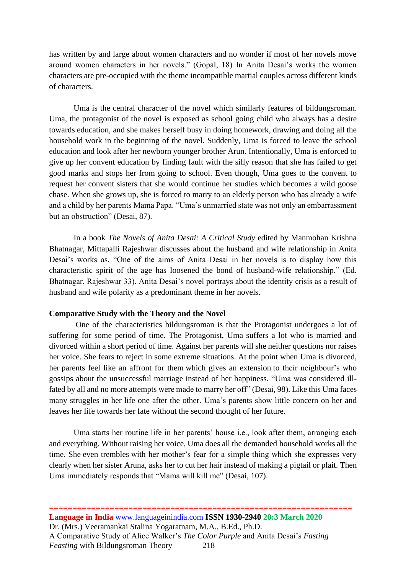has written by and large about women characters and no wonder if most of her novels move around women characters in her novels." (Gopal, 18) In Anita Desai's works the women characters are pre-occupied with the theme incompatible martial couples across different kinds of characters.

Uma is the central character of the novel which similarly features of bildungsroman. Uma, the protagonist of the novel is exposed as school going child who always has a desire towards education, and she makes herself busy in doing homework, drawing and doing all the household work in the beginning of the novel. Suddenly, Uma is forced to leave the school education and look after her newborn younger brother Arun. Intentionally, Uma is enforced to give up her convent education by finding fault with the silly reason that she has failed to get good marks and stops her from going to school. Even though, Uma goes to the convent to request her convent sisters that she would continue her studies which becomes a wild goose chase. When she grows up, she is forced to marry to an elderly person who has already a wife and a child by her parents Mama Papa. "Uma's unmarried state was not only an embarrassment but an obstruction" (Desai, 87).

In a book *The Novels of Anita Desai: A Critical Study* edited by Manmohan Krishna Bhatnagar, Mittapalli Rajeshwar discusses about the husband and wife relationship in Anita Desai's works as, "One of the aims of Anita Desai in her novels is to display how this characteristic spirit of the age has loosened the bond of husband-wife relationship." (Ed. Bhatnagar, Rajeshwar 33). Anita Desai's novel portrays about the identity crisis as a result of husband and wife polarity as a predominant theme in her novels.

#### **Comparative Study with the Theory and the Novel**

One of the characteristics bildungsroman is that the Protagonist undergoes a lot of suffering for some period of time. The Protagonist, Uma suffers a lot who is married and divorced within a short period of time. Against her parents will she neither questions nor raises her voice. She fears to reject in some extreme situations. At the point when Uma is divorced, her parents feel like an affront for them which gives an extension to their neighbour's who gossips about the unsuccessful marriage instead of her happiness. "Uma was considered illfated by all and no more attempts were made to marry her off" (Desai, 98). Like this Uma faces many struggles in her life one after the other. Uma's parents show little concern on her and leaves her life towards her fate without the second thought of her future.

Uma starts her routine life in her parents' house i.e., look after them, arranging each and everything. Without raising her voice, Uma does all the demanded household works all the time. She even trembles with her mother's fear for a simple thing which she expresses very clearly when her sister Aruna, asks her to cut her hair instead of making a pigtail or plait. Then Uma immediately responds that "Mama will kill me" (Desai, 107).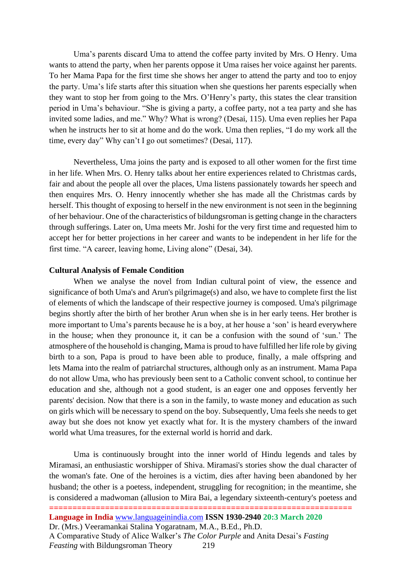Uma's parents discard Uma to attend the coffee party invited by Mrs. O Henry. Uma wants to attend the party, when her parents oppose it Uma raises her voice against her parents. To her Mama Papa for the first time she shows her anger to attend the party and too to enjoy the party. Uma's life starts after this situation when she questions her parents especially when they want to stop her from going to the Mrs. O'Henry's party, this states the clear transition period in Uma's behaviour. "She is giving a party, a coffee party, not a tea party and she has invited some ladies, and me." Why? What is wrong? (Desai, 115). Uma even replies her Papa when he instructs her to sit at home and do the work. Uma then replies, "I do my work all the time, every day" Why can't I go out sometimes? (Desai, 117).

Nevertheless, Uma joins the party and is exposed to all other women for the first time in her life. When Mrs. O. Henry talks about her entire experiences related to Christmas cards, fair and about the people all over the places, Uma listens passionately towards her speech and then enquires Mrs. O. Henry innocently whether she has made all the Christmas cards by herself. This thought of exposing to herself in the new environment is not seen in the beginning of her behaviour. One of the characteristics of bildungsroman is getting change in the characters through sufferings. Later on, Uma meets Mr. Joshi for the very first time and requested him to accept her for better projections in her career and wants to be independent in her life for the first time. "A career, leaving home, Living alone" (Desai, 34).

#### **Cultural Analysis of Female Condition**

When we analyse the novel from Indian cultural point of view, the essence and significance of both Uma's and Arun's pilgrimage(s) and also, we have to complete first the list of elements of which the landscape of their respective journey is composed. Uma's pilgrimage begins shortly after the birth of her brother Arun when she is in her early teens. Her brother is more important to Uma's parents because he is a boy, at her house a 'son' is heard everywhere in the house; when they pronounce it, it can be a confusion with the sound of 'sun.' The atmosphere of the household is changing, Mama is proud to have fulfilled her life role by giving birth to a son, Papa is proud to have been able to produce, finally, a male offspring and lets Mama into the realm of patriarchal structures, although only as an instrument. Mama Papa do not allow Uma, who has previously been sent to a Catholic convent school, to continue her education and she, although not a good student, is an eager one and opposes fervently her parents' decision. Now that there is a son in the family, to waste money and education as such on girls which will be necessary to spend on the boy. Subsequently, Uma feels she needs to get away but she does not know yet exactly what for. It is the mystery chambers of the inward world what Uma treasures, for the external world is horrid and dark.

Uma is continuously brought into the inner world of Hindu legends and tales by Miramasi, an enthusiastic worshipper of Shiva. Miramasi's stories show the dual character of the woman's fate. One of the heroines is a victim, dies after having been abandoned by her husband; the other is a poetess, independent, struggling for recognition; in the meantime, she is considered a madwoman (allusion to Mira Bai, a legendary sixteenth-century's poetess and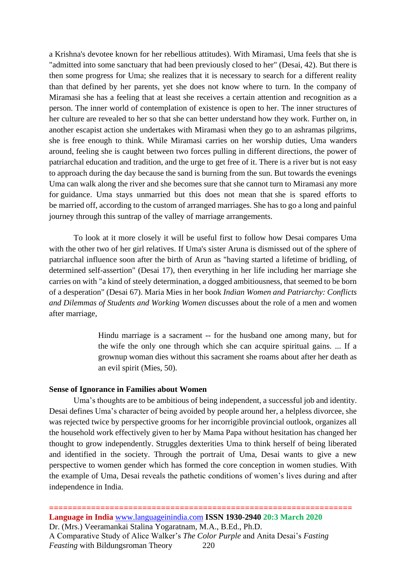a Krishna's devotee known for her rebellious attitudes). With Miramasi, Uma feels that she is "admitted into some sanctuary that had been previously closed to her" (Desai, 42). But there is then some progress for Uma; she realizes that it is necessary to search for a different reality than that defined by her parents, yet she does not know where to turn. In the company of Miramasi she has a feeling that at least she receives a certain attention and recognition as a person. The inner world of contemplation of existence is open to her. The inner structures of her culture are revealed to her so that she can better understand how they work. Further on, in another escapist action she undertakes with Miramasi when they go to an ashramas pilgrims, she is free enough to think. While Miramasi carries on her worship duties, Uma wanders around, feeling she is caught between two forces pulling in different directions, the power of patriarchal education and tradition, and the urge to get free of it. There is a river but is not easy to approach during the day because the sand is burning from the sun. But towards the evenings Uma can walk along the river and she becomes sure that she cannot turn to Miramasi any more for guidance. Uma stays unmarried but this does not mean that she is spared efforts to be married off, according to the custom of arranged marriages. She has to go a long and painful journey through this suntrap of the valley of marriage arrangements.

To look at it more closely it will be useful first to follow how Desai compares Uma with the other two of her girl relatives. If Uma's sister Aruna is dismissed out of the sphere of patriarchal influence soon after the birth of Arun as "having started a lifetime of bridling, of determined self-assertion" (Desai 17), then everything in her life including her marriage she carries on with "a kind of steely determination, a dogged ambitiousness, that seemed to be born of a desperation" (Desai 67). Maria Mies in her book *Indian Women and Patriarchy: Conflicts and Dilemmas of Students and Working Women* discusses about the role of a men and women after marriage,

> Hindu marriage is a sacrament -- for the husband one among many, but for the wife the only one through which she can acquire spiritual gains. ... If a grownup woman dies without this sacrament she roams about after her death as an evil spirit (Mies, 50).

#### **Sense of Ignorance in Families about Women**

Uma's thoughts are to be ambitious of being independent, a successful job and identity. Desai defines Uma's character of being avoided by people around her, a helpless divorcee, she was rejected twice by perspective grooms for her incorrigible provincial outlook, organizes all the household work effectively given to her by Mama Papa without hesitation has changed her thought to grow independently. Struggles dexterities Uma to think herself of being liberated and identified in the society. Through the portrait of Uma, Desai wants to give a new perspective to women gender which has formed the core conception in women studies. With the example of Uma, Desai reveals the pathetic conditions of women's lives during and after independence in India.